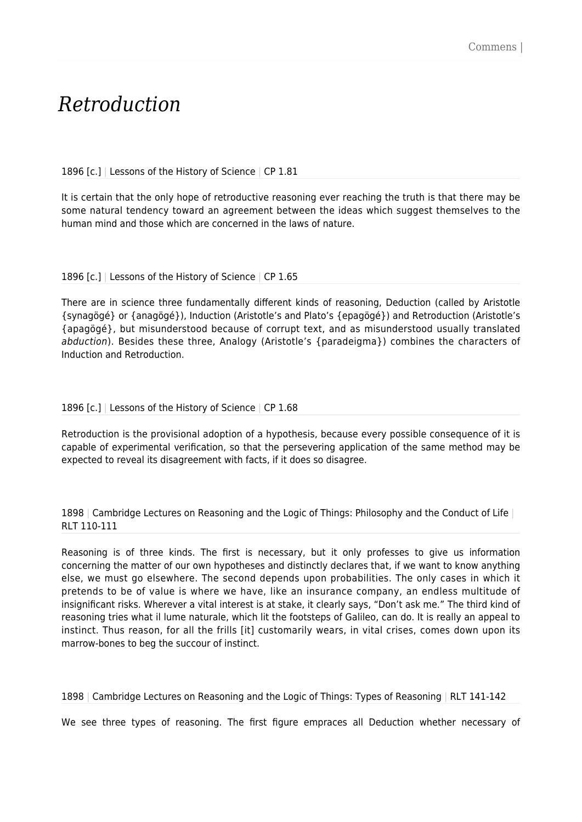# *Retroduction*

1896 [c.] | Lessons of the History of Science | CP 1.81

It is certain that the only hope of retroductive reasoning ever reaching the truth is that there may be some natural tendency toward an agreement between the ideas which suggest themselves to the human mind and those which are concerned in the laws of nature.

#### 1896 [c.] | Lessons of the History of Science | CP 1.65

There are in science three fundamentally different kinds of reasoning, Deduction (called by Aristotle {synagögé} or {anagögé}), Induction (Aristotle's and Plato's {epagögé}) and Retroduction (Aristotle's {apagögé}, but misunderstood because of corrupt text, and as misunderstood usually translated abduction). Besides these three, Analogy (Aristotle's {paradeigma}) combines the characters of Induction and Retroduction.

#### 1896 [c.] | Lessons of the History of Science | CP 1.68

Retroduction is the provisional adoption of a hypothesis, because every possible consequence of it is capable of experimental verification, so that the persevering application of the same method may be expected to reveal its disagreement with facts, if it does so disagree.

## 1898 | Cambridge Lectures on Reasoning and the Logic of Things: Philosophy and the Conduct of Life | RLT 110-111

Reasoning is of three kinds. The first is necessary, but it only professes to give us information concerning the matter of our own hypotheses and distinctly declares that, if we want to know anything else, we must go elsewhere. The second depends upon probabilities. The only cases in which it pretends to be of value is where we have, like an insurance company, an endless multitude of insignificant risks. Wherever a vital interest is at stake, it clearly says, "Don't ask me." The third kind of reasoning tries what il lume naturale, which lit the footsteps of Galileo, can do. It is really an appeal to instinct. Thus reason, for all the frills [it] customarily wears, in vital crises, comes down upon its marrow-bones to beg the succour of instinct.

## 1898 | Cambridge Lectures on Reasoning and the Logic of Things: Types of Reasoning | RLT 141-142

We see three types of reasoning. The first figure empraces all Deduction whether necessary of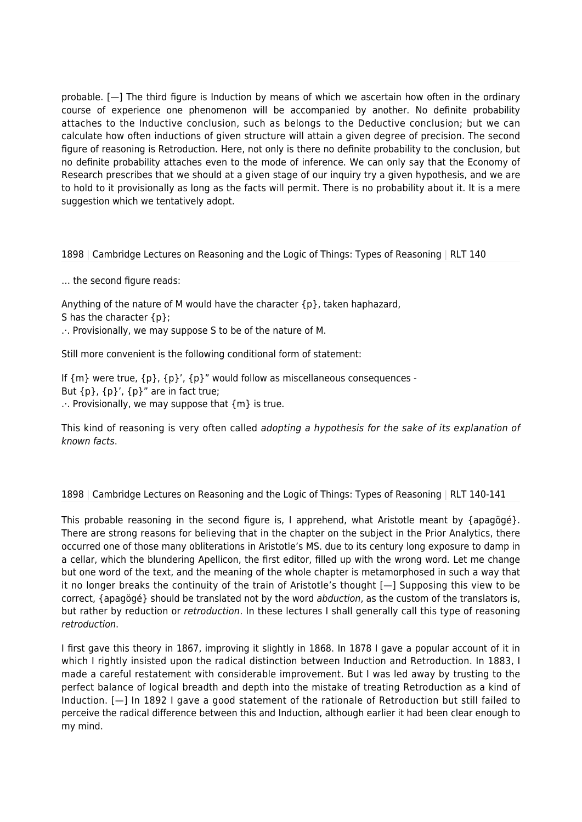probable. [—] The third figure is Induction by means of which we ascertain how often in the ordinary course of experience one phenomenon will be accompanied by another. No definite probability attaches to the Inductive conclusion, such as belongs to the Deductive conclusion; but we can calculate how often inductions of given structure will attain a given degree of precision. The second figure of reasoning is Retroduction. Here, not only is there no definite probability to the conclusion, but no definite probability attaches even to the mode of inference. We can only say that the Economy of Research prescribes that we should at a given stage of our inquiry try a given hypothesis, and we are to hold to it provisionally as long as the facts will permit. There is no probability about it. It is a mere suggestion which we tentatively adopt.

1898 | Cambridge Lectures on Reasoning and the Logic of Things: Types of Reasoning | RLT 140

… the second figure reads:

Anything of the nature of M would have the character {p}, taken haphazard, S has the character {p};

.·. Provisionally, we may suppose S to be of the nature of M.

Still more convenient is the following conditional form of statement:

If {m} were true, {p}, {p}', {p}" would follow as miscellaneous consequences -

But  $\{p\}$ ,  $\{p\}'$ ,  $\{p\}''$  are in fact true;

 $\therefore$  Provisionally, we may suppose that  $\{m\}$  is true.

This kind of reasoning is very often called adopting a hypothesis for the sake of its explanation of known facts.

# 1898 | Cambridge Lectures on Reasoning and the Logic of Things: Types of Reasoning | RLT 140-141

This probable reasoning in the second figure is, I apprehend, what Aristotle meant by {apagögé}. There are strong reasons for believing that in the chapter on the subject in the Prior Analytics, there occurred one of those many obliterations in Aristotle's MS. due to its century long exposure to damp in a cellar, which the blundering Apellicon, the first editor, filled up with the wrong word. Let me change but one word of the text, and the meaning of the whole chapter is metamorphosed in such a way that it no longer breaks the continuity of the train of Aristotle's thought [—] Supposing this view to be correct, {apagögé} should be translated not by the word abduction, as the custom of the translators is, but rather by reduction or retroduction. In these lectures I shall generally call this type of reasoning retroduction.

I first gave this theory in 1867, improving it slightly in 1868. In 1878 I gave a popular account of it in which I rightly insisted upon the radical distinction between Induction and Retroduction. In 1883, I made a careful restatement with considerable improvement. But I was led away by trusting to the perfect balance of logical breadth and depth into the mistake of treating Retroduction as a kind of Induction. [—] In 1892 I gave a good statement of the rationale of Retroduction but still failed to perceive the radical difference between this and Induction, although earlier it had been clear enough to my mind.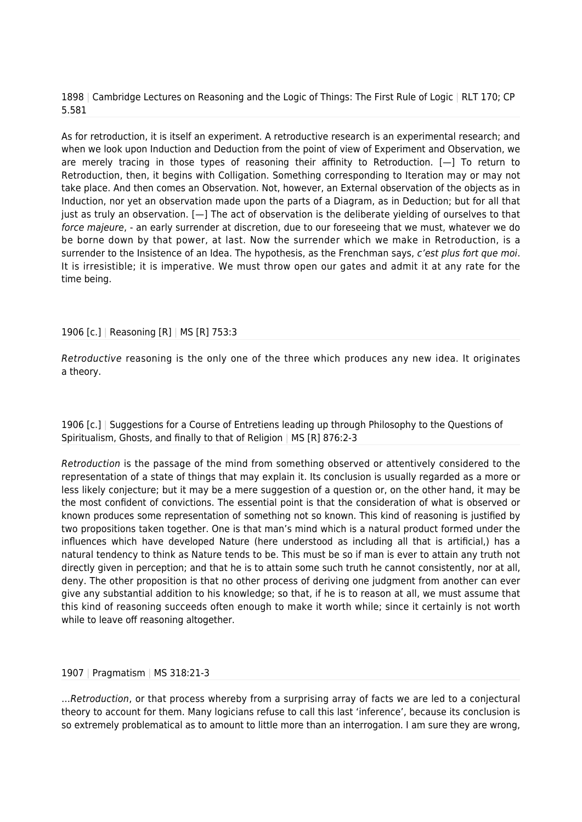1898 | Cambridge Lectures on Reasoning and the Logic of Things: The First Rule of Logic | RLT 170; CP 5.581

As for retroduction, it is itself an experiment. A retroductive research is an experimental research; and when we look upon Induction and Deduction from the point of view of Experiment and Observation, we are merely tracing in those types of reasoning their affinity to Retroduction. [—] To return to Retroduction, then, it begins with Colligation. Something corresponding to Iteration may or may not take place. And then comes an Observation. Not, however, an External observation of the objects as in Induction, nor yet an observation made upon the parts of a Diagram, as in Deduction; but for all that just as truly an observation. [—] The act of observation is the deliberate yielding of ourselves to that force majeure, - an early surrender at discretion, due to our foreseeing that we must, whatever we do be borne down by that power, at last. Now the surrender which we make in Retroduction, is a surrender to the Insistence of an Idea. The hypothesis, as the Frenchman says, c'est plus fort que moi. It is irresistible; it is imperative. We must throw open our gates and admit it at any rate for the time being.

## 1906 [c.] | Reasoning [R] | MS [R] 753:3

Retroductive reasoning is the only one of the three which produces any new idea. It originates a theory.

1906 [c.] | Suggestions for a Course of Entretiens leading up through Philosophy to the Questions of Spiritualism, Ghosts, and finally to that of Religion | MS [R] 876:2-3

Retroduction is the passage of the mind from something observed or attentively considered to the representation of a state of things that may explain it. Its conclusion is usually regarded as a more or less likely conjecture; but it may be a mere suggestion of a question or, on the other hand, it may be the most confident of convictions. The essential point is that the consideration of what is observed or known produces some representation of something not so known. This kind of reasoning is justified by two propositions taken together. One is that man's mind which is a natural product formed under the influences which have developed Nature (here understood as including all that is artificial,) has a natural tendency to think as Nature tends to be. This must be so if man is ever to attain any truth not directly given in perception; and that he is to attain some such truth he cannot consistently, nor at all, deny. The other proposition is that no other process of deriving one judgment from another can ever give any substantial addition to his knowledge; so that, if he is to reason at all, we must assume that this kind of reasoning succeeds often enough to make it worth while; since it certainly is not worth while to leave off reasoning altogether.

## 1907 | Pragmatism | MS 318:21-3

…Retroduction, or that process whereby from a surprising array of facts we are led to a conjectural theory to account for them. Many logicians refuse to call this last 'inference', because its conclusion is so extremely problematical as to amount to little more than an interrogation. I am sure they are wrong,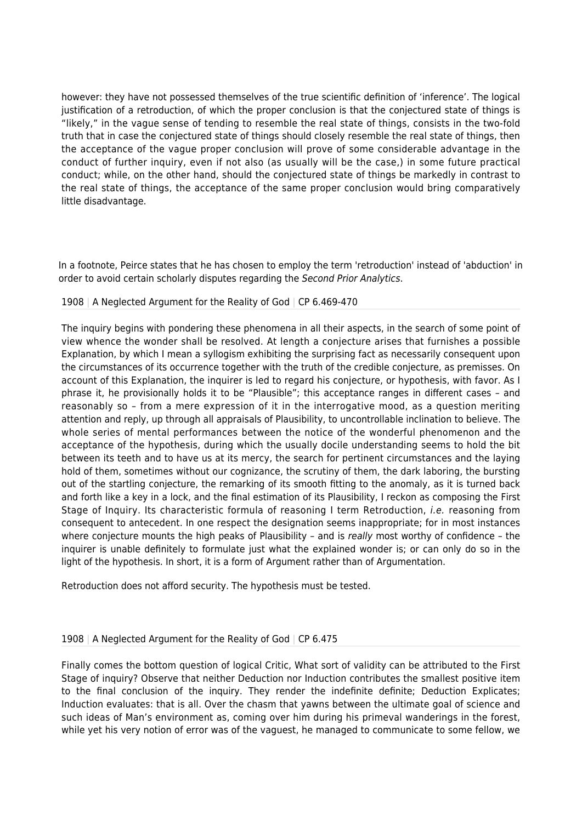however: they have not possessed themselves of the true scientific definition of 'inference'. The logical justification of a retroduction, of which the proper conclusion is that the conjectured state of things is "likely," in the vague sense of tending to resemble the real state of things, consists in the two-fold truth that in case the conjectured state of things should closely resemble the real state of things, then the acceptance of the vague proper conclusion will prove of some considerable advantage in the conduct of further inquiry, even if not also (as usually will be the case,) in some future practical conduct; while, on the other hand, should the conjectured state of things be markedly in contrast to the real state of things, the acceptance of the same proper conclusion would bring comparatively little disadvantage.

In a footnote, Peirce states that he has chosen to employ the term 'retroduction' instead of 'abduction' in order to avoid certain scholarly disputes regarding the Second Prior Analytics.

# 1908 | A Neglected Argument for the Reality of God | CP 6.469-470

The inquiry begins with pondering these phenomena in all their aspects, in the search of some point of view whence the wonder shall be resolved. At length a conjecture arises that furnishes a possible Explanation, by which I mean a syllogism exhibiting the surprising fact as necessarily consequent upon the circumstances of its occurrence together with the truth of the credible conjecture, as premisses. On account of this Explanation, the inquirer is led to regard his conjecture, or hypothesis, with favor. As I phrase it, he provisionally holds it to be "Plausible"; this acceptance ranges in different cases – and reasonably so – from a mere expression of it in the interrogative mood, as a question meriting attention and reply, up through all appraisals of Plausibility, to uncontrollable inclination to believe. The whole series of mental performances between the notice of the wonderful phenomenon and the acceptance of the hypothesis, during which the usually docile understanding seems to hold the bit between its teeth and to have us at its mercy, the search for pertinent circumstances and the laying hold of them, sometimes without our cognizance, the scrutiny of them, the dark laboring, the bursting out of the startling conjecture, the remarking of its smooth fitting to the anomaly, as it is turned back and forth like a key in a lock, and the final estimation of its Plausibility, I reckon as composing the First Stage of Inquiry. Its characteristic formula of reasoning I term Retroduction, i.e. reasoning from consequent to antecedent. In one respect the designation seems inappropriate; for in most instances where conjecture mounts the high peaks of Plausibility - and is really most worthy of confidence - the inquirer is unable definitely to formulate just what the explained wonder is; or can only do so in the light of the hypothesis. In short, it is a form of Argument rather than of Argumentation.

Retroduction does not afford security. The hypothesis must be tested.

## 1908 | A Neglected Argument for the Reality of God | CP 6.475

Finally comes the bottom question of logical Critic, What sort of validity can be attributed to the First Stage of inquiry? Observe that neither Deduction nor Induction contributes the smallest positive item to the final conclusion of the inquiry. They render the indefinite definite; Deduction Explicates; Induction evaluates: that is all. Over the chasm that yawns between the ultimate goal of science and such ideas of Man's environment as, coming over him during his primeval wanderings in the forest, while yet his very notion of error was of the vaguest, he managed to communicate to some fellow, we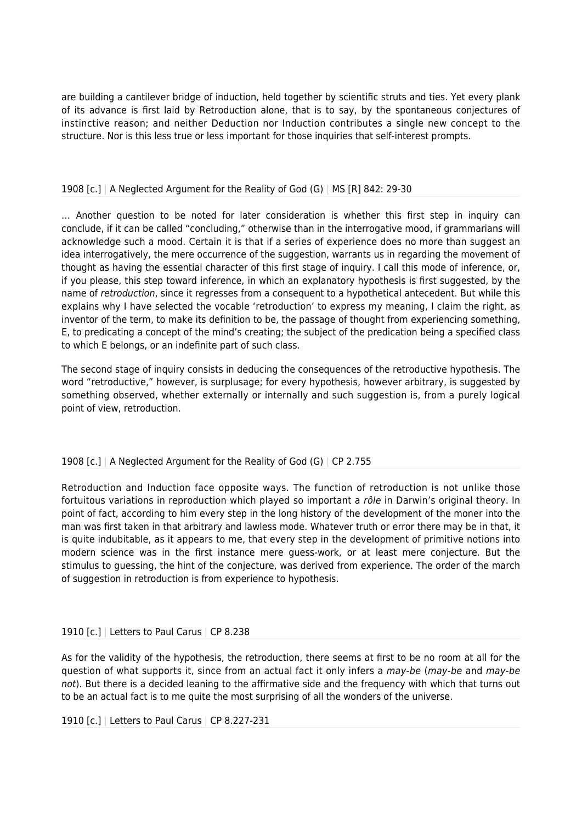are building a cantilever bridge of induction, held together by scientific struts and ties. Yet every plank of its advance is first laid by Retroduction alone, that is to say, by the spontaneous conjectures of instinctive reason; and neither Deduction nor Induction contributes a single new concept to the structure. Nor is this less true or less important for those inquiries that self-interest prompts.

## 1908 [c.] | A Neglected Argument for the Reality of God (G) | MS [R] 842: 29-30

… Another question to be noted for later consideration is whether this first step in inquiry can conclude, if it can be called "concluding," otherwise than in the interrogative mood, if grammarians will acknowledge such a mood. Certain it is that if a series of experience does no more than suggest an idea interrogatively, the mere occurrence of the suggestion, warrants us in regarding the movement of thought as having the essential character of this first stage of inquiry. I call this mode of inference, or, if you please, this step toward inference, in which an explanatory hypothesis is first suggested, by the name of retroduction, since it regresses from a consequent to a hypothetical antecedent. But while this explains why I have selected the vocable 'retroduction' to express my meaning, I claim the right, as inventor of the term, to make its definition to be, the passage of thought from experiencing something, E, to predicating a concept of the mind's creating; the subject of the predication being a specified class to which E belongs, or an indefinite part of such class.

The second stage of inquiry consists in deducing the consequences of the retroductive hypothesis. The word "retroductive," however, is surplusage; for every hypothesis, however arbitrary, is suggested by something observed, whether externally or internally and such suggestion is, from a purely logical point of view, retroduction.

# 1908 [c.] | A Neglected Argument for the Reality of God (G) | CP 2.755

Retroduction and Induction face opposite ways. The function of retroduction is not unlike those fortuitous variations in reproduction which played so important a rôle in Darwin's original theory. In point of fact, according to him every step in the long history of the development of the moner into the man was first taken in that arbitrary and lawless mode. Whatever truth or error there may be in that, it is quite indubitable, as it appears to me, that every step in the development of primitive notions into modern science was in the first instance mere guess-work, or at least mere conjecture. But the stimulus to guessing, the hint of the conjecture, was derived from experience. The order of the march of suggestion in retroduction is from experience to hypothesis.

## 1910 [c.] | Letters to Paul Carus | CP 8.238

As for the validity of the hypothesis, the retroduction, there seems at first to be no room at all for the question of what supports it, since from an actual fact it only infers a may-be (may-be and may-be not). But there is a decided leaning to the affirmative side and the frequency with which that turns out to be an actual fact is to me quite the most surprising of all the wonders of the universe.

1910 [c.] | Letters to Paul Carus | CP 8.227-231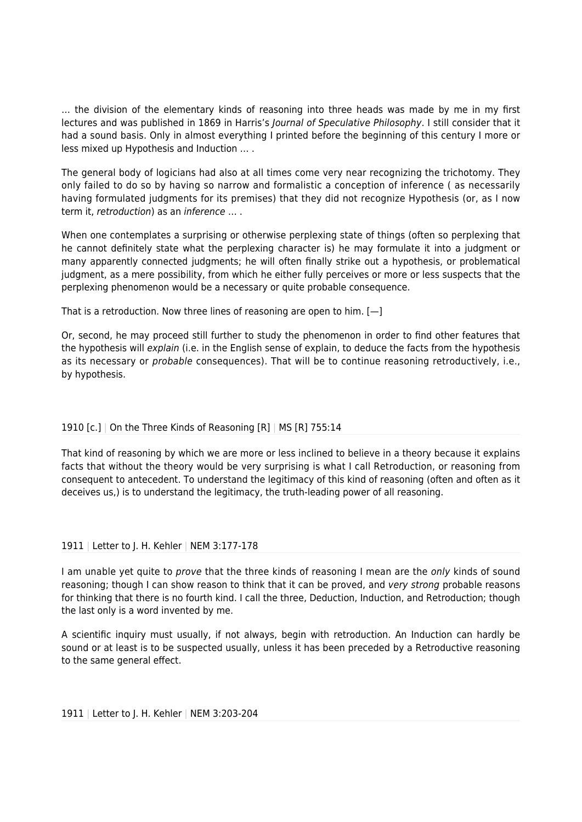… the division of the elementary kinds of reasoning into three heads was made by me in my first lectures and was published in 1869 in Harris's Journal of Speculative Philosophy. I still consider that it had a sound basis. Only in almost everything I printed before the beginning of this century I more or less mixed up Hypothesis and Induction … .

The general body of logicians had also at all times come very near recognizing the trichotomy. They only failed to do so by having so narrow and formalistic a conception of inference ( as necessarily having formulated judgments for its premises) that they did not recognize Hypothesis (or, as I now term it, retroduction) as an inference … .

When one contemplates a surprising or otherwise perplexing state of things (often so perplexing that he cannot definitely state what the perplexing character is) he may formulate it into a judgment or many apparently connected judgments; he will often finally strike out a hypothesis, or problematical judgment, as a mere possibility, from which he either fully perceives or more or less suspects that the perplexing phenomenon would be a necessary or quite probable consequence.

That is a retroduction. Now three lines of reasoning are open to him. [—]

Or, second, he may proceed still further to study the phenomenon in order to find other features that the hypothesis will explain (i.e. in the English sense of explain, to deduce the facts from the hypothesis as its necessary or probable consequences). That will be to continue reasoning retroductively, i.e., by hypothesis.

## 1910 [c.] | On the Three Kinds of Reasoning [R] | MS [R] 755:14

That kind of reasoning by which we are more or less inclined to believe in a theory because it explains facts that without the theory would be very surprising is what I call Retroduction, or reasoning from consequent to antecedent. To understand the legitimacy of this kind of reasoning (often and often as it deceives us,) is to understand the legitimacy, the truth-leading power of all reasoning.

## 1911 | Letter to J. H. Kehler | NEM 3:177-178

I am unable yet quite to *prove* that the three kinds of reasoning I mean are the *only* kinds of sound reasoning; though I can show reason to think that it can be proved, and very strong probable reasons for thinking that there is no fourth kind. I call the three, Deduction, Induction, and Retroduction; though the last only is a word invented by me.

A scientific inquiry must usually, if not always, begin with retroduction. An Induction can hardly be sound or at least is to be suspected usually, unless it has been preceded by a Retroductive reasoning to the same general effect.

## 1911 | Letter to J. H. Kehler | NEM 3:203-204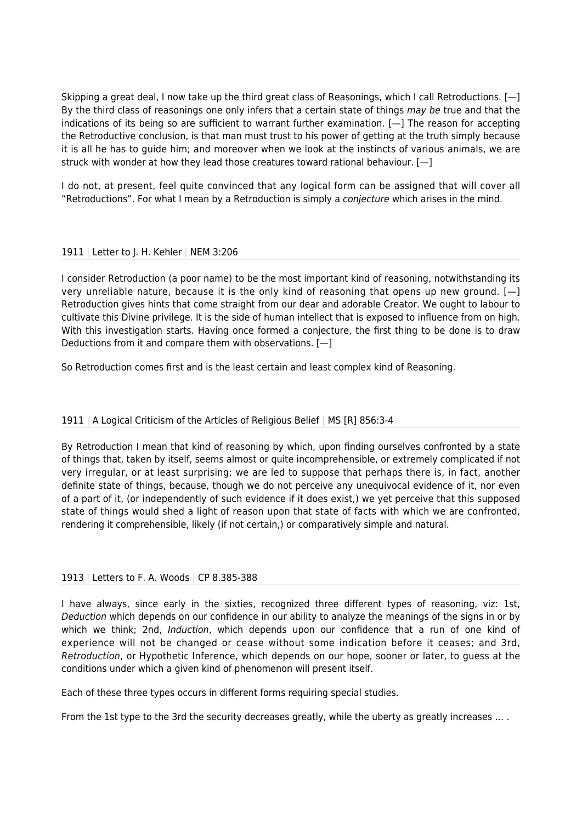Skipping a great deal, I now take up the third great class of Reasonings, which I call Retroductions. [—] By the third class of reasonings one only infers that a certain state of things may be true and that the indications of its being so are sufficient to warrant further examination. [—] The reason for accepting the Retroductive conclusion, is that man must trust to his power of getting at the truth simply because it is all he has to guide him; and moreover when we look at the instincts of various animals, we are struck with wonder at how they lead those creatures toward rational behaviour.  $[-1]$ 

I do not, at present, feel quite convinced that any logical form can be assigned that will cover all "Retroductions". For what I mean by a Retroduction is simply a conjecture which arises in the mind.

## 1911 | Letter to J. H. Kehler | NEM 3:206

I consider Retroduction (a poor name) to be the most important kind of reasoning, notwithstanding its very unreliable nature, because it is the only kind of reasoning that opens up new ground. [—] Retroduction gives hints that come straight from our dear and adorable Creator. We ought to labour to cultivate this Divine privilege. It is the side of human intellect that is exposed to influence from on high. With this investigation starts. Having once formed a conjecture, the first thing to be done is to draw Deductions from it and compare them with observations. [—]

So Retroduction comes first and is the least certain and least complex kind of Reasoning.

# 1911 | A Logical Criticism of the Articles of Religious Belief | MS [R] 856:3-4

By Retroduction I mean that kind of reasoning by which, upon finding ourselves confronted by a state of things that, taken by itself, seems almost or quite incomprehensible, or extremely complicated if not very irregular, or at least surprising; we are led to suppose that perhaps there is, in fact, another definite state of things, because, though we do not perceive any unequivocal evidence of it, nor even of a part of it, (or independently of such evidence if it does exist,) we yet perceive that this supposed state of things would shed a light of reason upon that state of facts with which we are confronted, rendering it comprehensible, likely (if not certain,) or comparatively simple and natural.

## 1913 | Letters to F. A. Woods | CP 8.385-388

I have always, since early in the sixties, recognized three different types of reasoning, viz: 1st, Deduction which depends on our confidence in our ability to analyze the meanings of the signs in or by which we think; 2nd, *Induction*, which depends upon our confidence that a run of one kind of experience will not be changed or cease without some indication before it ceases; and 3rd, Retroduction, or Hypothetic Inference, which depends on our hope, sooner or later, to guess at the conditions under which a given kind of phenomenon will present itself.

Each of these three types occurs in different forms requiring special studies.

From the 1st type to the 3rd the security decreases greatly, while the uberty as greatly increases ... .